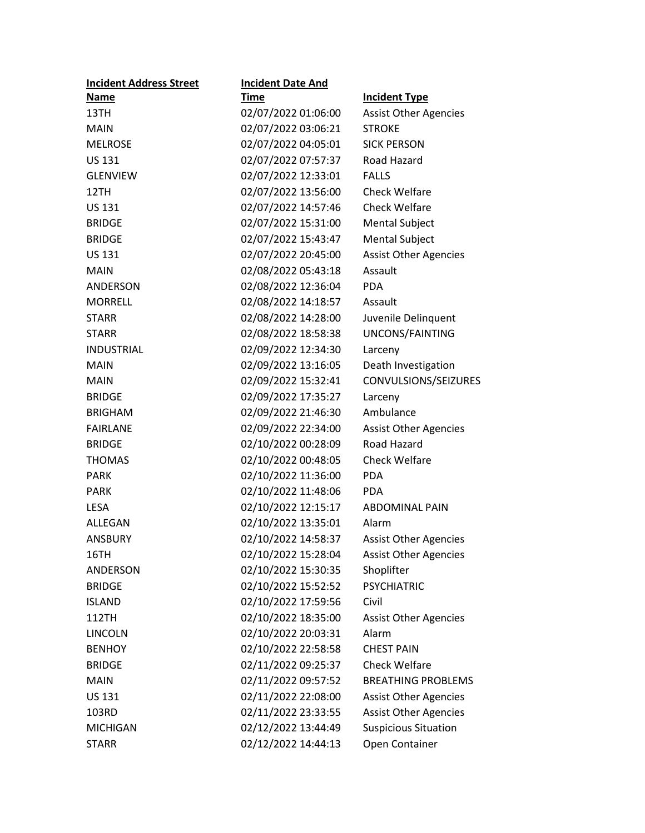| <b>Incident Address Street</b> | <b>Incident Date And</b> |                              |
|--------------------------------|--------------------------|------------------------------|
| Name                           | <b>Time</b>              | <b>Incident Type</b>         |
| 13TH                           | 02/07/2022 01:06:00      | <b>Assist Other Agencies</b> |
| <b>MAIN</b>                    | 02/07/2022 03:06:21      | <b>STROKE</b>                |
| <b>MELROSE</b>                 | 02/07/2022 04:05:01      | <b>SICK PERSON</b>           |
| <b>US 131</b>                  | 02/07/2022 07:57:37      | Road Hazard                  |
| <b>GLENVIEW</b>                | 02/07/2022 12:33:01      | <b>FALLS</b>                 |
| 12TH                           | 02/07/2022 13:56:00      | <b>Check Welfare</b>         |
| <b>US 131</b>                  | 02/07/2022 14:57:46      | <b>Check Welfare</b>         |
| <b>BRIDGE</b>                  | 02/07/2022 15:31:00      | <b>Mental Subject</b>        |
| <b>BRIDGE</b>                  | 02/07/2022 15:43:47      | <b>Mental Subject</b>        |
| <b>US 131</b>                  | 02/07/2022 20:45:00      | <b>Assist Other Agencies</b> |
| <b>MAIN</b>                    | 02/08/2022 05:43:18      | Assault                      |
| <b>ANDERSON</b>                | 02/08/2022 12:36:04      | <b>PDA</b>                   |
| <b>MORRELL</b>                 | 02/08/2022 14:18:57      | Assault                      |
| <b>STARR</b>                   | 02/08/2022 14:28:00      | Juvenile Delinquent          |
| <b>STARR</b>                   | 02/08/2022 18:58:38      | UNCONS/FAINTING              |
| <b>INDUSTRIAL</b>              | 02/09/2022 12:34:30      | Larceny                      |
| <b>MAIN</b>                    | 02/09/2022 13:16:05      | Death Investigation          |
| <b>MAIN</b>                    | 02/09/2022 15:32:41      | CONVULSIONS/SEIZURES         |
| <b>BRIDGE</b>                  | 02/09/2022 17:35:27      | Larceny                      |
| <b>BRIGHAM</b>                 | 02/09/2022 21:46:30      | Ambulance                    |
| <b>FAIRLANE</b>                | 02/09/2022 22:34:00      | <b>Assist Other Agencies</b> |
| <b>BRIDGE</b>                  | 02/10/2022 00:28:09      | Road Hazard                  |
| <b>THOMAS</b>                  | 02/10/2022 00:48:05      | <b>Check Welfare</b>         |
| <b>PARK</b>                    | 02/10/2022 11:36:00      | <b>PDA</b>                   |
| <b>PARK</b>                    | 02/10/2022 11:48:06      | <b>PDA</b>                   |
| <b>LESA</b>                    | 02/10/2022 12:15:17      | <b>ABDOMINAL PAIN</b>        |
| ALLEGAN                        | 02/10/2022 13:35:01      | Alarm                        |
| ANSBURY                        | 02/10/2022 14:58:37      | <b>Assist Other Agencies</b> |
| 16TH                           | 02/10/2022 15:28:04      | <b>Assist Other Agencies</b> |
| ANDERSON                       | 02/10/2022 15:30:35      | Shoplifter                   |
| <b>BRIDGE</b>                  | 02/10/2022 15:52:52      | <b>PSYCHIATRIC</b>           |
| <b>ISLAND</b>                  | 02/10/2022 17:59:56      | Civil                        |
| 112TH                          | 02/10/2022 18:35:00      | <b>Assist Other Agencies</b> |
| <b>LINCOLN</b>                 | 02/10/2022 20:03:31      | Alarm                        |
| <b>BENHOY</b>                  | 02/10/2022 22:58:58      | <b>CHEST PAIN</b>            |
| <b>BRIDGE</b>                  | 02/11/2022 09:25:37      | <b>Check Welfare</b>         |
| <b>MAIN</b>                    | 02/11/2022 09:57:52      | <b>BREATHING PROBLEMS</b>    |
| <b>US 131</b>                  | 02/11/2022 22:08:00      | <b>Assist Other Agencies</b> |
| 103RD                          | 02/11/2022 23:33:55      | <b>Assist Other Agencies</b> |
| <b>MICHIGAN</b>                | 02/12/2022 13:44:49      | <b>Suspicious Situation</b>  |
| <b>STARR</b>                   | 02/12/2022 14:44:13      | Open Container               |
|                                |                          |                              |